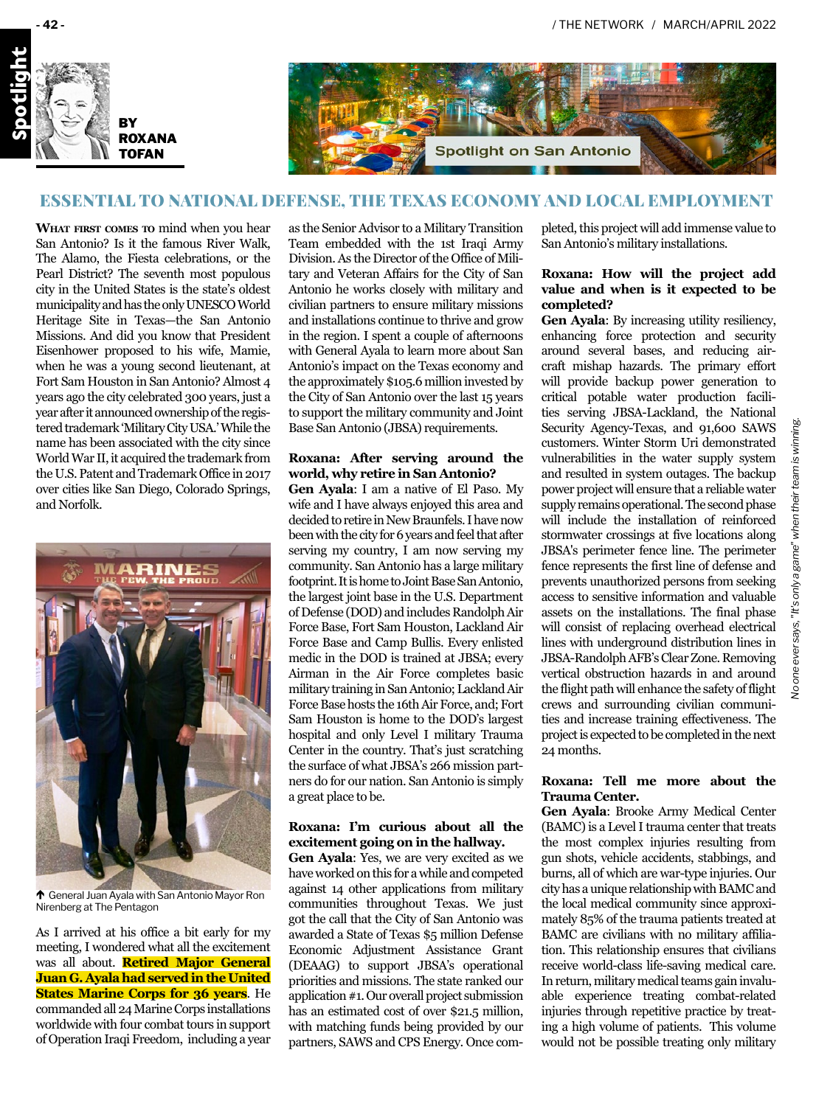



# ESSENTIAL TO NATIONAL DEFENSE, THE TEXAS ECONOMY AND LOCAL EMPLOYMENT

**What first comes to** mind when you hear San Antonio? Is it the famous River Walk, The Alamo, the Fiesta celebrations, or the Pearl District? The seventh most populous city in the United States is the state's oldest municipality and has the only UNESCO World Heritage Site in Texas—the San Antonio Missions. And did you know that President Eisenhower proposed to his wife, Mamie, when he was a young second lieutenant, at Fort Sam Houston in San Antonio? Almost 4 years ago the city celebrated 300 years, just a year after it announced ownership of the registered trademark 'Military City USA.' While the name has been associated with the city since World War II, it acquired the trademark from the U.S. Patent and Trademark Office in 2017 over cities like San Diego, Colorado Springs, and Norfolk.



 $\uparrow$  General Juan Ayala with San Antonio Mayor Ron Nirenberg at The Pentagon

As I arrived at his office a bit early for my meeting, I wondered what all the excitement was all about. **Retired Major General Juan G. Ayala had served in the United States Marine Corps for 36 years**. He commanded all 24 Marine Corps installations worldwide with four combat tours in support of Operation Iraqi Freedom, including a year

as the Senior Advisor to a Military Transition Team embedded with the 1st Iraqi Army Division. As the Director of the Office of Military and Veteran Affairs for the City of San Antonio he works closely with military and civilian partners to ensure military missions and installations continue to thrive and grow in the region. I spent a couple of afternoons with General Ayala to learn more about San Antonio's impact on the Texas economy and the approximately \$105.6 million invested by the City of San Antonio over the last 15 years to support the military community and Joint Base San Antonio (JBSA) requirements.

# **Roxana: After serving around the world, why retire in San Antonio?**

**Gen Ayala**: I am a native of El Paso. My wife and I have always enjoyed this area and decided to retire in New Braunfels. I have now been with the city for 6 years and feel that after serving my country, I am now serving my community. San Antonio has a large military footprint. It is home to Joint Base San Antonio, the largest joint base in the U.S. Department of Defense (DOD) and includes Randolph Air Force Base, Fort Sam Houston, Lackland Air Force Base and Camp Bullis. Every enlisted medic in the DOD is trained at JBSA; every Airman in the Air Force completes basic military training in San Antonio; Lackland Air Force Base hosts the 16th Air Force, and; Fort Sam Houston is home to the DOD's largest hospital and only Level I military Trauma Center in the country. That's just scratching the surface of what JBSA's 266 mission partners do for our nation. San Antonio is simply a great place to be.

### **Roxana: I'm curious about all the excitement going on in the hallway.**

**Gen Ayala**: Yes, we are very excited as we have worked on this for a while and competed against 14 other applications from military communities throughout Texas. We just got the call that the City of San Antonio was awarded a State of Texas \$5 million Defense Economic Adjustment Assistance Grant (DEAAG) to support JBSA's operational priorities and missions. The state ranked our application #1. Our overall project submission has an estimated cost of over \$21.5 million, with matching funds being provided by our partners, SAWS and CPS Energy. Once com-

pleted, this project will add immense value to San Antonio's military installations.

### **Roxana: How will the project add value and when is it expected to be completed?**

**Gen Ayala**: By increasing utility resiliency, enhancing force protection and security around several bases, and reducing aircraft mishap hazards. The primary effort will provide backup power generation to critical potable water production facilities serving JBSA-Lackland, the National Security Agency-Texas, and 91,600 SAWS customers. Winter Storm Uri demonstrated vulnerabilities in the water supply system and resulted in system outages. The backup power project will ensure that a reliable water supply remains operational. The second phase will include the installation of reinforced stormwater crossings at five locations along JBSA's perimeter fence line. The perimeter fence represents the first line of defense and prevents unauthorized persons from seeking access to sensitive information and valuable assets on the installations. The final phase will consist of replacing overhead electrical lines with underground distribution lines in JBSA-Randolph AFB's Clear Zone.Removing vertical obstruction hazards in and around the flight path will enhance the safety of flight crews and surrounding civilian communities and increase training effectiveness. The project is expected to be completed in the next 24 months.

# **Roxana: Tell me more about the Trauma Center.**

**Gen Ayala**: Brooke Army Medical Center (BAMC) is a Level I trauma center that treats the most complex injuries resulting from gun shots, vehicle accidents, stabbings, and burns, all of which are war-type injuries. Our city has a unique relationship with BAMC and the local medical community since approximately 85% of the trauma patients treated at BAMC are civilians with no military affiliation. This relationship ensures that civilians receive world-class life-saving medical care. In return, military medical teams gain invaluable experience treating combat-related injuries through repetitive practice by treating a high volume of patients. This volume would not be possible treating only military